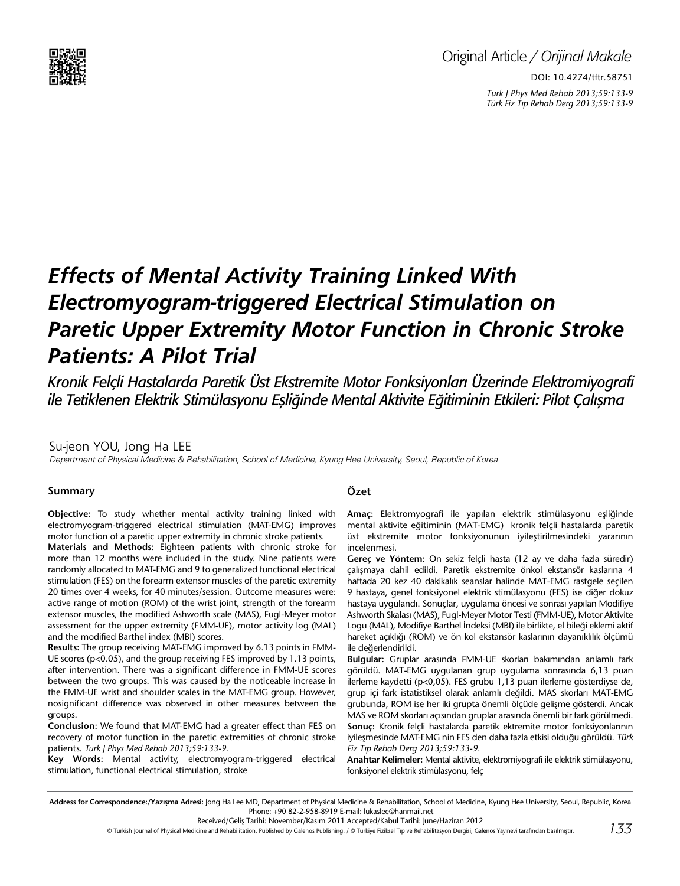

DOI: 10.4274/tftr.58751 *Turk J Phys Med Rehab 2013;59:133-9 Türk Fiz T›p Rehab Derg 2013;59:133-9*

# *Effects of Mental Activity Training Linked With Electromyogram-triggered Electrical Stimulation on Paretic Upper Extremity Motor Function in Chronic Stroke Patients: A Pilot Trial*

*Kronik Felçli Hastalarda Paretik Üst Ekstremite Motor Fonksiyonları Üzerinde Elektromiyografi ile Tetiklenen Elektrik Stimülasyonu Eşliğinde Mental Aktivite Eğitiminin Etkileri: Pilot Çalışma*

Su-jeon YOU, Jong Ha LEE Department of Physical Medicine & Rehabilitation, School of Medicine, Kyung Hee University, Seoul, Republic of Korea

#### **Summary**

**Objective:** To study whether mental activity training linked with electromyogram-triggered electrical stimulation (MAT-EMG) improves motor function of a paretic upper extremity in chronic stroke patients.

**Materials and Methods:** Eighteen patients with chronic stroke for more than 12 months were included in the study. Nine patients were randomly allocated to MAT-EMG and 9 to generalized functional electrical stimulation (FES) on the forearm extensor muscles of the paretic extremity 20 times over 4 weeks, for 40 minutes/session. Outcome measures were: active range of motion (ROM) of the wrist joint, strength of the forearm extensor muscles, the modified Ashworth scale (MAS), Fugl-Meyer motor assessment for the upper extremity (FMM-UE), motor activity log (MAL) and the modified Barthel index (MBI) scores.

**Results:** The group receiving MAT-EMG improved by 6.13 points in FMM-UE scores (p<0.05), and the group receiving FES improved by 1.13 points, after intervention. There was a significant difference in FMM-UE scores between the two groups. This was caused by the noticeable increase in the FMM-UE wrist and shoulder scales in the MAT-EMG group. However, nosignificant difference was observed in other measures between the groups.

**Conclusion:** We found that MAT-EMG had a greater effect than FES on recovery of motor function in the paretic extremities of chronic stroke patients. *Turk J Phys Med Rehab 2013;59:133-9.*

**Key Words:** Mental activity, electromyogram-triggered electrical stimulation, functional electrical stimulation, stroke

## **Özet**

**Amaç:** Elektromyografi ile yapılan elektrik stimülasyonu eşliğinde mental aktivite eğitiminin (MAT-EMG) kronik felçli hastalarda paretik üst ekstremite motor fonksiyonunun iyileştirilmesindeki yararının incelenmesi.

**Gereç ve Yöntem:** On sekiz felçli hasta (12 ay ve daha fazla süredir) çalışmaya dahil edildi. Paretik ekstremite önkol ekstansör kaslarına 4 haftada 20 kez 40 dakikalık seanslar halinde MAT-EMG rastgele seçilen 9 hastaya, genel fonksiyonel elektrik stimülasyonu (FES) ise diğer dokuz hastaya uygulandı. Sonuçlar, uygulama öncesi ve sonrası yapılan Modifiye Ashworth Skalası (MAS), Fugl-Meyer Motor Testi (FMM-UE), Motor Aktivite Logu (MAL), Modifiye Barthel İndeksi (MBI) ile birlikte, el bileği eklemi aktif hareket açıklığı (ROM) ve ön kol ekstansör kaslarının dayanıklılık ölçümü ile değerlendirildi.

**Bulgular:** Gruplar arasında FMM-UE skorları bakımından anlamlı fark görüldü. MAT-EMG uygulanan grup uygulama sonrasında 6,13 puan ilerleme kaydetti (p<0,05). FES grubu 1,13 puan ilerleme gösterdiyse de, grup içi fark istatistiksel olarak anlamlı değildi. MAS skorları MAT-EMG grubunda, ROM ise her iki grupta önemli ölçüde gelişme gösterdi. Ancak MAS ve ROM skorları açısından gruplar arasında önemli bir fark görülmedi. **Sonuç:** Kronik felçli hastalarda paretik ektremite motor fonksiyonlarının iyileşmesinde MAT-EMG nin FES den daha fazla etkisi olduğu görüldü. *Türk Fiz T›p Rehab Derg 2013;59:133-9*.

**Anahtar Kelimeler:** Mental aktivite, elektromiyografi ile elektrik stimülasyonu, fonksiyonel elektrik stimülasyonu, felç

Address for Correspondence:/Yazışma Adresi: Jong Ha Lee MD, Department of Physical Medicine & Rehabilitation, School of Medicine, Kyung Hee University, Seoul, Republic, Korea Phone: +90 82-2-958-8919 E-mail: lukaslee@hanmail.net

Received/Geliş Tarihi: November/Kasım 2011 Accepted/Kabul Tarihi: June/Haziran 2012

*133* © Turkish Journal of Physical Medicine and Rehabilitation, Published by Galenos Publishing. / © Türkiye Fiziksel Tıp ve Rehabilitasyon Dergisi, Galenos Yayınevi tarafından basılmıştır.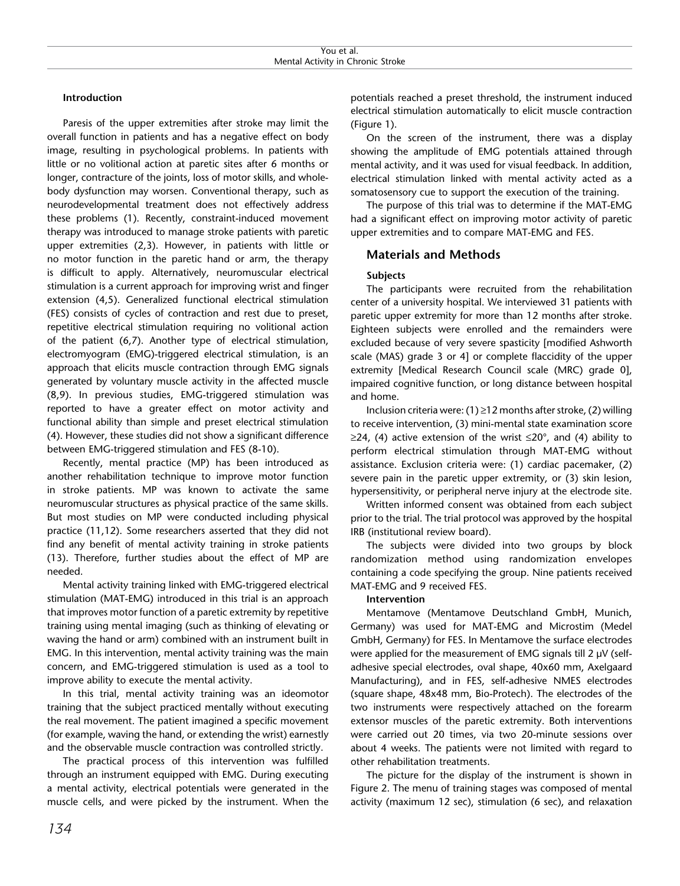### **Introduction**

Paresis of the upper extremities after stroke may limit the overall function in patients and has a negative effect on body image, resulting in psychological problems. In patients with little or no volitional action at paretic sites after 6 months or longer, contracture of the joints, loss of motor skills, and wholebody dysfunction may worsen. Conventional therapy, such as neurodevelopmental treatment does not effectively address these problems (1). Recently, constraint-induced movement therapy was introduced to manage stroke patients with paretic upper extremities (2,3). However, in patients with little or no motor function in the paretic hand or arm, the therapy is difficult to apply. Alternatively, neuromuscular electrical stimulation is a current approach for improving wrist and finger extension (4,5). Generalized functional electrical stimulation (FES) consists of cycles of contraction and rest due to preset, repetitive electrical stimulation requiring no volitional action of the patient (6,7). Another type of electrical stimulation, electromyogram (EMG)-triggered electrical stimulation, is an approach that elicits muscle contraction through EMG signals generated by voluntary muscle activity in the affected muscle (8,9). In previous studies, EMG-triggered stimulation was reported to have a greater effect on motor activity and functional ability than simple and preset electrical stimulation (4). However, these studies did not show a significant difference between EMG-triggered stimulation and FES (8-10).

Recently, mental practice (MP) has been introduced as another rehabilitation technique to improve motor function in stroke patients. MP was known to activate the same neuromuscular structures as physical practice of the same skills. But most studies on MP were conducted including physical practice (11,12). Some researchers asserted that they did not find any benefit of mental activity training in stroke patients (13). Therefore, further studies about the effect of MP are needed.

Mental activity training linked with EMG-triggered electrical stimulation (MAT-EMG) introduced in this trial is an approach that improves motor function of a paretic extremity by repetitive training using mental imaging (such as thinking of elevating or waving the hand or arm) combined with an instrument built in EMG. In this intervention, mental activity training was the main concern, and EMG-triggered stimulation is used as a tool to improve ability to execute the mental activity.

In this trial, mental activity training was an ideomotor training that the subject practiced mentally without executing the real movement. The patient imagined a specific movement (for example, waving the hand, or extending the wrist) earnestly and the observable muscle contraction was controlled strictly.

The practical process of this intervention was fulfilled through an instrument equipped with EMG. During executing a mental activity, electrical potentials were generated in the muscle cells, and were picked by the instrument. When the potentials reached a preset threshold, the instrument induced electrical stimulation automatically to elicit muscle contraction (Figure 1).

On the screen of the instrument, there was a display showing the amplitude of EMG potentials attained through mental activity, and it was used for visual feedback. In addition, electrical stimulation linked with mental activity acted as a somatosensory cue to support the execution of the training.

The purpose of this trial was to determine if the MAT-EMG had a significant effect on improving motor activity of paretic upper extremities and to compare MAT-EMG and FES.

### **Materials and Methods**

#### **Subjects**

The participants were recruited from the rehabilitation center of a university hospital. We interviewed 31 patients with paretic upper extremity for more than 12 months after stroke. Eighteen subjects were enrolled and the remainders were excluded because of very severe spasticity [modified Ashworth scale (MAS) grade 3 or 4] or complete flaccidity of the upper extremity [Medical Research Council scale (MRC) grade 0], impaired cognitive function, or long distance between hospital and home.

Inclusion criteria were: (1)  $\geq$  12 months after stroke, (2) willing to receive intervention, (3) mini-mental state examination score ≥24, (4) active extension of the wrist  $≤20^{\circ}$ , and (4) ability to perform electrical stimulation through MAT-EMG without assistance. Exclusion criteria were: (1) cardiac pacemaker, (2) severe pain in the paretic upper extremity, or (3) skin lesion, hypersensitivity, or peripheral nerve injury at the electrode site.

Written informed consent was obtained from each subject prior to the trial. The trial protocol was approved by the hospital IRB (institutional review board).

The subjects were divided into two groups by block randomization method using randomization envelopes containing a code specifying the group. Nine patients received MAT-EMG and 9 received FES.

## **Intervention**

Mentamove (Mentamove Deutschland GmbH, Munich, Germany) was used for MAT-EMG and Microstim (Medel GmbH, Germany) for FES. In Mentamove the surface electrodes were applied for the measurement of EMG signals till 2 µV (selfadhesive special electrodes, oval shape, 40x60 mm, Axelgaard Manufacturing), and in FES, self-adhesive NMES electrodes (square shape, 48x48 mm, Bio-Protech). The electrodes of the two instruments were respectively attached on the forearm extensor muscles of the paretic extremity. Both interventions were carried out 20 times, via two 20-minute sessions over about 4 weeks. The patients were not limited with regard to other rehabilitation treatments.

The picture for the display of the instrument is shown in Figure 2. The menu of training stages was composed of mental activity (maximum 12 sec), stimulation (6 sec), and relaxation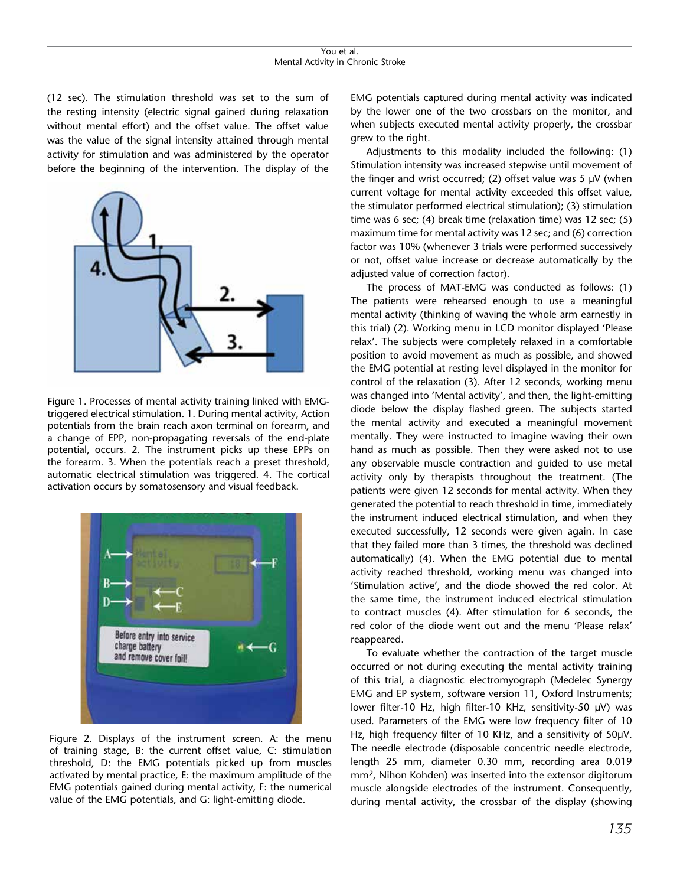| You et al.                        |  |  |  |  |
|-----------------------------------|--|--|--|--|
| Mental Activity in Chronic Stroke |  |  |  |  |

(12 sec). The stimulation threshold was set to the sum of the resting intensity (electric signal gained during relaxation without mental effort) and the offset value. The offset value was the value of the signal intensity attained through mental activity for stimulation and was administered by the operator before the beginning of the intervention. The display of the



Figure 1. Processes of mental activity training linked with EMGtriggered electrical stimulation. 1. During mental activity, Action potentials from the brain reach axon terminal on forearm, and a change of EPP, non-propagating reversals of the end-plate potential, occurs. 2. The instrument picks up these EPPs on the forearm. 3. When the potentials reach a preset threshold, automatic electrical stimulation was triggered. 4. The cortical activation occurs by somatosensory and visual feedback.



Figure 2. Displays of the instrument screen. A: the menu of training stage, B: the current offset value, C: stimulation threshold, D: the EMG potentials picked up from muscles activated by mental practice, E: the maximum amplitude of the EMG potentials gained during mental activity, F: the numerical value of the EMG potentials, and G: light-emitting diode.

EMG potentials captured during mental activity was indicated by the lower one of the two crossbars on the monitor, and when subjects executed mental activity properly, the crossbar grew to the right.

Adjustments to this modality included the following: (1) Stimulation intensity was increased stepwise until movement of the finger and wrist occurred; (2) offset value was  $5 \mu$ V (when current voltage for mental activity exceeded this offset value, the stimulator performed electrical stimulation); (3) stimulation time was 6 sec; (4) break time (relaxation time) was 12 sec; (5) maximum time for mental activity was 12 sec; and (6) correction factor was 10% (whenever 3 trials were performed successively or not, offset value increase or decrease automatically by the adjusted value of correction factor).

The process of MAT-EMG was conducted as follows: (1) The patients were rehearsed enough to use a meaningful mental activity (thinking of waving the whole arm earnestly in this trial) (2). Working menu in LCD monitor displayed 'Please relax'. The subjects were completely relaxed in a comfortable position to avoid movement as much as possible, and showed the EMG potential at resting level displayed in the monitor for control of the relaxation (3). After 12 seconds, working menu was changed into 'Mental activity', and then, the light-emitting diode below the display flashed green. The subjects started the mental activity and executed a meaningful movement mentally. They were instructed to imagine waving their own hand as much as possible. Then they were asked not to use any observable muscle contraction and guided to use metal activity only by therapists throughout the treatment. (The patients were given 12 seconds for mental activity. When they generated the potential to reach threshold in time, immediately the instrument induced electrical stimulation, and when they executed successfully, 12 seconds were given again. In case that they failed more than 3 times, the threshold was declined automatically) (4). When the EMG potential due to mental activity reached threshold, working menu was changed into 'Stimulation active', and the diode showed the red color. At the same time, the instrument induced electrical stimulation to contract muscles (4). After stimulation for 6 seconds, the red color of the diode went out and the menu 'Please relax' reappeared.

To evaluate whether the contraction of the target muscle occurred or not during executing the mental activity training of this trial, a diagnostic electromyograph (Medelec Synergy EMG and EP system, software version 11, Oxford Instruments; lower filter-10 Hz, high filter-10 KHz, sensitivity-50 µV) was used. Parameters of the EMG were low frequency filter of 10 Hz, high frequency filter of 10 KHz, and a sensitivity of 50µV. The needle electrode (disposable concentric needle electrode, length 25 mm, diameter 0.30 mm, recording area 0.019 mm2, Nihon Kohden) was inserted into the extensor digitorum muscle alongside electrodes of the instrument. Consequently, during mental activity, the crossbar of the display (showing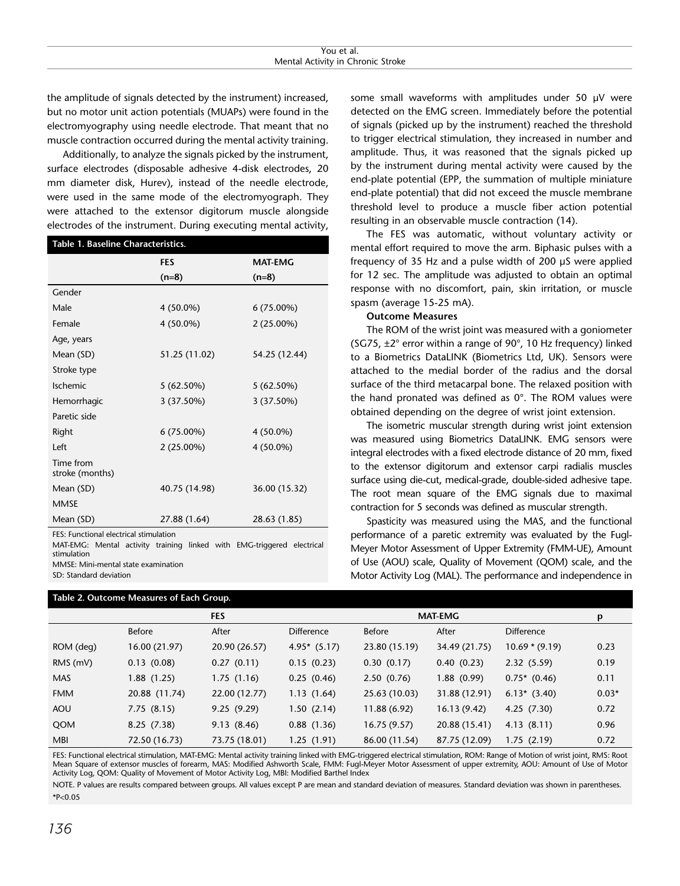the amplitude of signals detected by the instrument) increased, but no motor unit action potentials (MUAPs) were found in the electromyography using needle electrode. That meant that no muscle contraction occurred during the mental activity training.

Additionally, to analyze the signals picked by the instrument, surface electrodes (disposable adhesive 4-disk electrodes, 20 mm diameter disk, Hurev), instead of the needle electrode, were used in the same mode of the electromyograph. They were attached to the extensor digitorum muscle alongside electrodes of the instrument. During executing mental activity,

| Table 1. Baseline Characteristics.     |               |                |  |  |  |  |
|----------------------------------------|---------------|----------------|--|--|--|--|
|                                        | <b>FES</b>    | <b>MAT-EMG</b> |  |  |  |  |
|                                        | $(n=8)$       | $(n=8)$        |  |  |  |  |
| Gender                                 |               |                |  |  |  |  |
| Male                                   | 4 (50.0%)     | 6 (75.00%)     |  |  |  |  |
| Female                                 | 4 (50.0%)     | 2 (25.00%)     |  |  |  |  |
| Age, years                             |               |                |  |  |  |  |
| Mean (SD)                              | 51.25 (11.02) | 54.25 (12.44)  |  |  |  |  |
| Stroke type                            |               |                |  |  |  |  |
| <b>Ischemic</b>                        | $5(62.50\%)$  | $5(62.50\%)$   |  |  |  |  |
| Hemorrhagic                            | 3 (37.50%)    | 3 (37.50%)     |  |  |  |  |
| Paretic side                           |               |                |  |  |  |  |
| Right                                  | $6(75.00\%)$  | 4 (50.0%)      |  |  |  |  |
| Left                                   | 2 (25.00%)    | 4 (50.0%)      |  |  |  |  |
| Time from<br>stroke (months)           |               |                |  |  |  |  |
| Mean (SD)                              | 40.75 (14.98) | 36.00 (15.32)  |  |  |  |  |
| <b>MMSE</b>                            |               |                |  |  |  |  |
| Mean (SD)                              | 27.88 (1.64)  | 28.63 (1.85)   |  |  |  |  |
| EES, Eunctional electrical stimulation |               |                |  |  |  |  |

FES: Functional electrical stimulation

MAT-EMG: Mental activity training linked with EMG-triggered electrical stimulation MMSE: Mini-mental state examination SD: Standard deviation

#### **Table 2. Outcome Measures of Each Group.**

some small waveforms with amplitudes under 50 µV were detected on the EMG screen. Immediately before the potential of signals (picked up by the instrument) reached the threshold to trigger electrical stimulation, they increased in number and amplitude. Thus, it was reasoned that the signals picked up by the instrument during mental activity were caused by the end-plate potential (EPP, the summation of multiple miniature end-plate potential) that did not exceed the muscle membrane threshold level to produce a muscle fiber action potential resulting in an observable muscle contraction (14).

The FES was automatic, without voluntary activity or mental effort required to move the arm. Biphasic pulses with a frequency of 35 Hz and a pulse width of 200 µS were applied for 12 sec. The amplitude was adjusted to obtain an optimal response with no discomfort, pain, skin irritation, or muscle spasm (average 15-25 mA).

#### **Outcome Measures**

The ROM of the wrist joint was measured with a goniometer (SG75, ±2° error within a range of 90°, 10 Hz frequency) linked to a Biometrics DataLINK (Biometrics Ltd, UK). Sensors were attached to the medial border of the radius and the dorsal surface of the third metacarpal bone. The relaxed position with the hand pronated was defined as 0°. The ROM values were obtained depending on the degree of wrist joint extension.

The isometric muscular strength during wrist joint extension was measured using Biometrics DataLINK. EMG sensors were integral electrodes with a fixed electrode distance of 20 mm, fixed to the extensor digitorum and extensor carpi radialis muscles surface using die-cut, medical-grade, double-sided adhesive tape. The root mean square of the EMG signals due to maximal contraction for 5 seconds was defined as muscular strength.

Spasticity was measured using the MAS, and the functional performance of a paretic extremity was evaluated by the Fugl-Meyer Motor Assessment of Upper Extremity (FMM-UE), Amount of Use (AOU) scale, Quality of Movement (QOM) scale, and the Motor Activity Log (MAL). The performance and independence in

|            |               | <b>FES</b><br><b>MAT-EMG</b> |                   |               |               | p                 |         |
|------------|---------------|------------------------------|-------------------|---------------|---------------|-------------------|---------|
|            | <b>Before</b> | After                        | <b>Difference</b> | Before        | After         | <b>Difference</b> |         |
| ROM (deg)  | 16.00 (21.97) | 20.90 (26.57)                | $4.95*$ (5.17)    | 23.80 (15.19) | 34.49 (21.75) | $10.69 * (9.19)$  | 0.23    |
| $RMS$ (mV) | 0.13(0.08)    | 0.27(0.11)                   | 0.15(0.23)        | 0.30(0.17)    | 0.40(0.23)    | 2.32(5.59)        | 0.19    |
| <b>MAS</b> | 1.88(1.25)    | 1.75(1.16)                   | 0.25(0.46)        | 2.50(0.76)    | 1.88(0.99)    | $0.75*(0.46)$     | 0.11    |
| <b>FMM</b> | 20.88 (11.74) | 22.00 (12.77)                | 1.13(1.64)        | 25.63 (10.03) | 31.88 (12.91) | $6.13*$ (3.40)    | $0.03*$ |
| AOU        | 7.75(8.15)    | 9.25(9.29)                   | 1.50(2.14)        | 11.88 (6.92)  | 16.13(9.42)   | 4.25(7.30)        | 0.72    |
| QOM        | 8.25(7.38)    | 9.13(8.46)                   | 0.88(1.36)        | 16.75(9.57)   | 20.88 (15.41) | 4.13(8.11)        | 0.96    |
| <b>MBI</b> | 72.50 (16.73) | 73.75 (18.01)                | 1.25(1.91)        | 86.00 (11.54) | 87.75 (12.09) | 1.75(2.19)        | 0.72    |

FES: Functional electrical stimulation, MAT-EMG: Mental activity training linked with EMG-triggered electrical stimulation, ROM: Range of Motion of wrist joint, RMS: Root Mean Square of extensor muscles of forearm, MAS: Modified Ashworth Scale, FMM: Fugl-Meyer Motor Assessment of upper extremity, AOU: Amount of Use of Motor Activity Log, QOM: Quality of Movement of Motor Activity Log, MBI: Modified Barthel Index

NOTE. P values are results compared between groups. All values except P are mean and standard deviation of measures. Standard deviation was shown in parentheses. \*P<0.05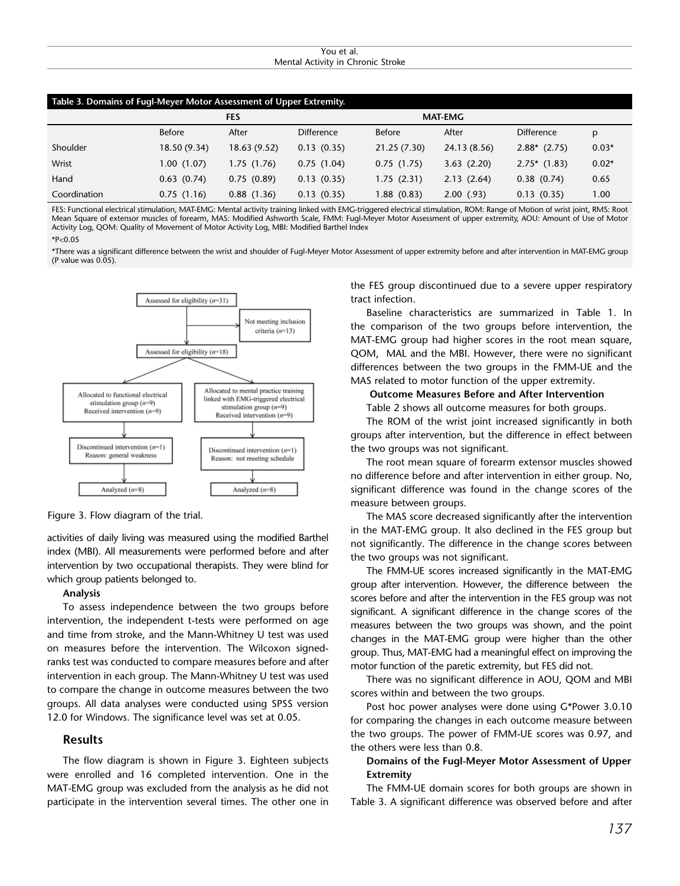#### You et al. Mental Activity in Chronic Stroke

| Table 3. Domains of Fugl-Meyer Motor Assessment of Upper Extremity. |                 |              |                   |               |                |                   |         |
|---------------------------------------------------------------------|-----------------|--------------|-------------------|---------------|----------------|-------------------|---------|
|                                                                     | <b>FES</b>      |              |                   |               | <b>MAT-EMG</b> |                   |         |
|                                                                     | <b>Before</b>   | After        | <b>Difference</b> | <b>Before</b> | After          | <b>Difference</b> | p       |
| Shoulder                                                            | 18.50 (9.34)    | 18.63 (9.52) | 0.13(0.35)        | 21.25 (7.30)  | 24.13 (8.56)   | $2.88*$ (2.75)    | $0.03*$ |
| Wrist                                                               | 1.00(1.07)      | 1.75 (1.76)  | 0.75(1.04)        | 0.75(1.75)    | 3.63(2.20)     | $2.75*$ (1.83)    | $0.02*$ |
| Hand                                                                | $0.63$ $(0.74)$ | 0.75(0.89)   | 0.13(0.35)        | 1.75(2.31)    | 2.13(2.64)     | 0.38(0.74)        | 0.65    |
| Coordination                                                        | 0.75(1.16)      | 0.88(1.36)   | 0.13(0.35)        | 1.88 (0.83)   | 2.00(93)       | 0.13(0.35)        | 1.00    |

FES: Functional electrical stimulation, MAT-EMG: Mental activity training linked with EMG-triggered electrical stimulation, ROM: Range of Motion of wrist joint, RMS: Root Mean Square of extensor muscles of forearm, MAS: Modified Ashworth Scale, FMM: Fugl-Meyer Motor Assessment of upper extremity, AOU: Amount of Use of Motor Activity Log, QOM: Quality of Movement of Motor Activity Log, MBI: Modified Barthel Index

\*P<0.05

\*There was a significant difference between the wrist and shoulder of Fugl-Meyer Motor Assessment of upper extremity before and after intervention in MAT-EMG group (P value was 0.05).



Figure 3. Flow diagram of the trial.

activities of daily living was measured using the modified Barthel index (MBI). All measurements were performed before and after intervention by two occupational therapists. They were blind for which group patients belonged to.

#### **Analysis**

To assess independence between the two groups before intervention, the independent t-tests were performed on age and time from stroke, and the Mann-Whitney U test was used on measures before the intervention. The Wilcoxon signedranks test was conducted to compare measures before and after intervention in each group. The Mann-Whitney U test was used to compare the change in outcome measures between the two groups. All data analyses were conducted using SPSS version 12.0 for Windows. The significance level was set at 0.05.

### **Results**

The flow diagram is shown in Figure 3. Eighteen subjects were enrolled and 16 completed intervention. One in the MAT-EMG group was excluded from the analysis as he did not participate in the intervention several times. The other one in

the FES group discontinued due to a severe upper respiratory tract infection.

Baseline characteristics are summarized in Table 1. In the comparison of the two groups before intervention, the MAT-EMG group had higher scores in the root mean square, QOM, MAL and the MBI. However, there were no significant differences between the two groups in the FMM-UE and the MAS related to motor function of the upper extremity.

#### **Outcome Measures Before and After Intervention**

Table 2 shows all outcome measures for both groups.

The ROM of the wrist joint increased significantly in both groups after intervention, but the difference in effect between the two groups was not significant.

The root mean square of forearm extensor muscles showed no difference before and after intervention in either group. No, significant difference was found in the change scores of the measure between groups.

The MAS score decreased significantly after the intervention in the MAT-EMG group. It also declined in the FES group but not significantly. The difference in the change scores between the two groups was not significant.

The FMM-UE scores increased significantly in the MAT-EMG group after intervention. However, the difference between the scores before and after the intervention in the FES group was not significant. A significant difference in the change scores of the measures between the two groups was shown, and the point changes in the MAT-EMG group were higher than the other group. Thus, MAT-EMG had a meaningful effect on improving the motor function of the paretic extremity, but FES did not.

There was no significant difference in AOU, QOM and MBI scores within and between the two groups.

Post hoc power analyses were done using G\*Power 3.0.10 for comparing the changes in each outcome measure between the two groups. The power of FMM-UE scores was 0.97, and the others were less than 0.8.

## **Domains of the Fugl-Meyer Motor Assessment of Upper Extremity**

The FMM-UE domain scores for both groups are shown in Table 3. A significant difference was observed before and after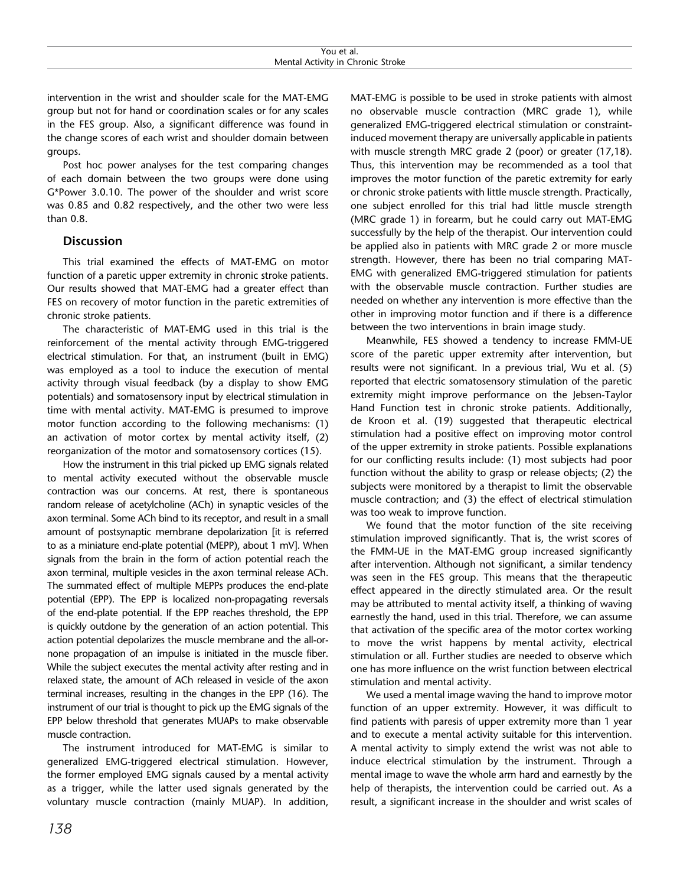intervention in the wrist and shoulder scale for the MAT-EMG group but not for hand or coordination scales or for any scales in the FES group. Also, a significant difference was found in the change scores of each wrist and shoulder domain between groups.

Post hoc power analyses for the test comparing changes of each domain between the two groups were done using G\*Power 3.0.10. The power of the shoulder and wrist score was 0.85 and 0.82 respectively, and the other two were less than 0.8.

## **Discussion**

This trial examined the effects of MAT-EMG on motor function of a paretic upper extremity in chronic stroke patients. Our results showed that MAT-EMG had a greater effect than FES on recovery of motor function in the paretic extremities of chronic stroke patients.

The characteristic of MAT-EMG used in this trial is the reinforcement of the mental activity through EMG-triggered electrical stimulation. For that, an instrument (built in EMG) was employed as a tool to induce the execution of mental activity through visual feedback (by a display to show EMG potentials) and somatosensory input by electrical stimulation in time with mental activity. MAT-EMG is presumed to improve motor function according to the following mechanisms: (1) an activation of motor cortex by mental activity itself, (2) reorganization of the motor and somatosensory cortices (15).

How the instrument in this trial picked up EMG signals related to mental activity executed without the observable muscle contraction was our concerns. At rest, there is spontaneous random release of acetylcholine (ACh) in synaptic vesicles of the axon terminal. Some ACh bind to its receptor, and result in a small amount of postsynaptic membrane depolarization [it is referred to as a miniature end-plate potential (MEPP), about 1 mV]. When signals from the brain in the form of action potential reach the axon terminal, multiple vesicles in the axon terminal release ACh. The summated effect of multiple MEPPs produces the end-plate potential (EPP). The EPP is localized non-propagating reversals of the end-plate potential. If the EPP reaches threshold, the EPP is quickly outdone by the generation of an action potential. This action potential depolarizes the muscle membrane and the all-ornone propagation of an impulse is initiated in the muscle fiber. While the subject executes the mental activity after resting and in relaxed state, the amount of ACh released in vesicle of the axon terminal increases, resulting in the changes in the EPP (16). The instrument of our trial is thought to pick up the EMG signals of the EPP below threshold that generates MUAPs to make observable muscle contraction.

The instrument introduced for MAT-EMG is similar to generalized EMG-triggered electrical stimulation. However, the former employed EMG signals caused by a mental activity as a trigger, while the latter used signals generated by the voluntary muscle contraction (mainly MUAP). In addition,

MAT-EMG is possible to be used in stroke patients with almost no observable muscle contraction (MRC grade 1), while generalized EMG-triggered electrical stimulation or constraintinduced movement therapy are universally applicable in patients with muscle strength MRC grade 2 (poor) or greater (17,18). Thus, this intervention may be recommended as a tool that improves the motor function of the paretic extremity for early or chronic stroke patients with little muscle strength. Practically, one subject enrolled for this trial had little muscle strength (MRC grade 1) in forearm, but he could carry out MAT-EMG successfully by the help of the therapist. Our intervention could be applied also in patients with MRC grade 2 or more muscle strength. However, there has been no trial comparing MAT-EMG with generalized EMG-triggered stimulation for patients with the observable muscle contraction. Further studies are needed on whether any intervention is more effective than the other in improving motor function and if there is a difference between the two interventions in brain image study.

Meanwhile, FES showed a tendency to increase FMM-UE score of the paretic upper extremity after intervention, but results were not significant. In a previous trial, Wu et al. (5) reported that electric somatosensory stimulation of the paretic extremity might improve performance on the Jebsen-Taylor Hand Function test in chronic stroke patients. Additionally, de Kroon et al. (19) suggested that therapeutic electrical stimulation had a positive effect on improving motor control of the upper extremity in stroke patients. Possible explanations for our conflicting results include: (1) most subjects had poor function without the ability to grasp or release objects; (2) the subjects were monitored by a therapist to limit the observable muscle contraction; and (3) the effect of electrical stimulation was too weak to improve function.

We found that the motor function of the site receiving stimulation improved significantly. That is, the wrist scores of the FMM-UE in the MAT-EMG group increased significantly after intervention. Although not significant, a similar tendency was seen in the FES group. This means that the therapeutic effect appeared in the directly stimulated area. Or the result may be attributed to mental activity itself, a thinking of waving earnestly the hand, used in this trial. Therefore, we can assume that activation of the specific area of the motor cortex working to move the wrist happens by mental activity, electrical stimulation or all. Further studies are needed to observe which one has more influence on the wrist function between electrical stimulation and mental activity.

We used a mental image waving the hand to improve motor function of an upper extremity. However, it was difficult to find patients with paresis of upper extremity more than 1 year and to execute a mental activity suitable for this intervention. A mental activity to simply extend the wrist was not able to induce electrical stimulation by the instrument. Through a mental image to wave the whole arm hard and earnestly by the help of therapists, the intervention could be carried out. As a result, a significant increase in the shoulder and wrist scales of